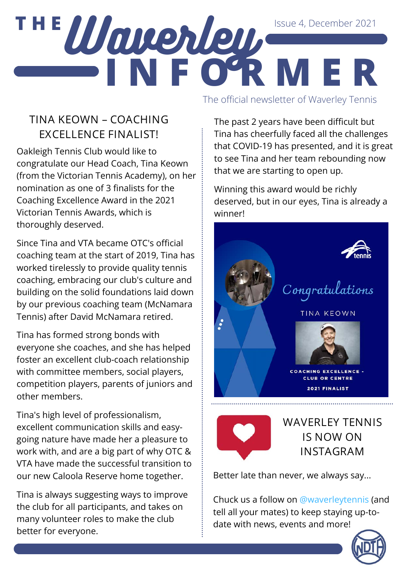### **T H E** Issue 4, December 2021

**I N F O R M E R** The official newsletter of Waverley Tennis

#### **TINA KEOWN – COACHING EXCELLENCE FINALIST!**

Waverley,

Oakleigh Tennis Club would like to congratulate our Head Coach, Tina Keown (from the Victorian Tennis Academy), on her nomination as one of 3 finalists for the Coaching Excellence Award in the 2021 Victorian Tennis Awards, which is thoroughly deserved.

Since Tina and VTA became OTC's official coaching team at the start of 2019, Tina has worked tirelessly to provide quality tennis coaching, embracing our club's culture and building on the solid foundations laid down by our previous coaching team (McNamara Tennis) after David McNamara retired.

Tina has formed strong bonds with everyone she coaches, and she has helped foster an excellent club-coach relationship with committee members, social players, competition players, parents of juniors and other members.

Tina's high level of professionalism, excellent communication skills and easygoing nature have made her a pleasure to work with, and are a big part of why OTC & VTA have made the successful transition to our new Caloola Reserve home together.

Tina is always suggesting ways to improve the club for all participants, and takes on many volunteer roles to make the club better for everyone.

The past 2 years have been difficult but Tina has cheerfully faced all the challenges that COVID-19 has presented, and it is great to see Tina and her team rebounding now that we are starting to open up.

Winning this award would be richly deserved, but in our eyes, Tina is already a winner!





**WAVERLEY TENNIS IS NOW ON INSTAGRAM**

Better late than never, we always say...

Chuck us a follow on @waverleytennis (and tell all your mates) to keep staying up-todate with news, events and more!

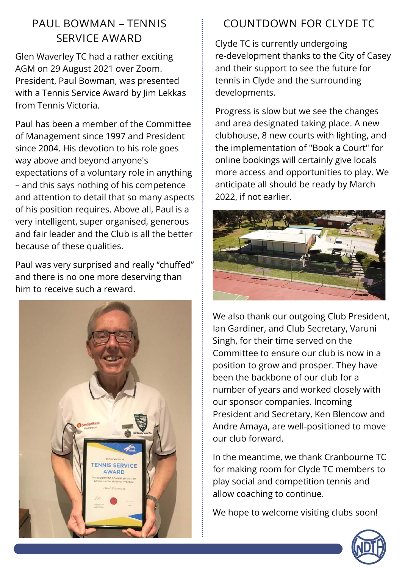### **PAUL BOWMAN – TENNIS SERVICE AWARD**

Glen Waverley TC had a rather exciting AGM on 29 August 2021 over Zoom. President, Paul Bowman, was presented with a Tennis Service Award by Jim Lekkas from Tennis Victoria.

Paul has been a member of the Committee of Management since 1997 and President since 2004. His devotion to his role goes way above and beyond anyone's expectations of a voluntary role in anything – and this says nothing of his competence and attention to detail that so many aspects of his position requires. Above all, Paul is a very intelligent, super organised, generous and fair leader and the Club is all the better because of these qualities.

Paul was very surprised and really "chuffed" and there is no one more deserving than him to receive such a reward.



### **COUNTDOWN FOR CLYDE TC**

Clyde TC is currently undergoing re-development thanks to the City of Casey and their support to see the future for tennis in Clyde and the surrounding developments.

Progress is slow but we see the changes and area designated taking place. A new clubhouse, 8 new courts with lighting, and the implementation of "Book a Court" for online bookings will certainly give locals more access and opportunities to play. We anticipate all should be ready by March 2022, if not earlier.



We also thank our outgoing Club President, Ian Gardiner, and Club Secretary, Varuni Singh, for their time served on the Committee to ensure our club is now in a position to grow and prosper. They have been the backbone of our club for a number of years and worked closely with our sponsor companies. Incoming President and Secretary, Ken Blencow and Andre Amaya, are well-positioned to move our club forward.

In the meantime, we thank Cranbourne TC for making room for Clyde TC members to play social and competition tennis and allow coaching to continue.

We hope to welcome visiting clubs soon!

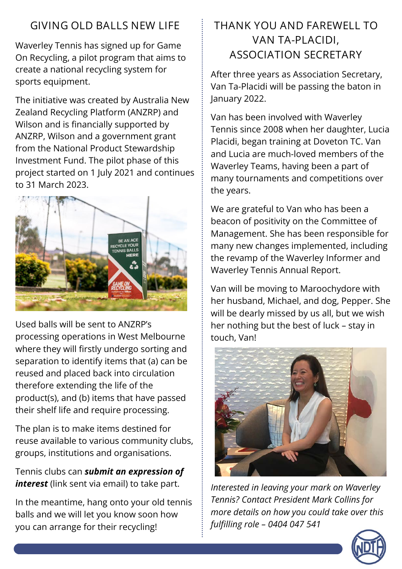### **GIVING OLD BALLS NEW LIFE**

Waverley Tennis has signed up for Game On Recycling, a pilot program that aims to create a national recycling system for sports equipment.

The initiative was created by Australia New Zealand Recycling Platform (ANZRP) and Wilson and is financially supported by ANZRP, Wilson and a government grant from the National Product Stewardship Investment Fund. The pilot phase of this project started on 1 July 2021 and continues to 31 March 2023.



Used balls will be sent to ANZRP's processing operations in West Melbourne where they will firstly undergo sorting and separation to identify items that (a) can be reused and placed back into circulation therefore extending the life of the product(s), and (b) items that have passed their shelf life and require processing.

The plan is to make items destined for reuse available to various community clubs, groups, institutions and organisations.

Tennis clubs can *submit an expression of interest* [\(link sent via email\) to take part.](https://asn.us5.list-manage.com/track/click?u=abfc048a7c2d9aad1fa043bbd&id=58bee9cabd&e=c2c7554f06)

In the meantime, hang onto your old tennis balls and we will let you know soon how you can arrange for their recycling!

### **THANK YOU AND FAREWELL TO VAN TA-PLACIDI, ASSOCIATION SECRETARY**

After three years as Association Secretary, Van Ta-Placidi will be passing the baton in January 2022.

Van has been involved with Waverley Tennis since 2008 when her daughter, Lucia Placidi, began training at Doveton TC. Van and Lucia are much-loved members of the Waverley Teams, having been a part of many tournaments and competitions over the years.

We are grateful to Van who has been a beacon of positivity on the Committee of Management. She has been responsible for many new changes implemented, including the revamp of the Waverley Informer and Waverley Tennis Annual Report.

Van will be moving to Maroochydore with her husband, Michael, and dog, Pepper. She will be dearly missed by us all, but we wish her nothing but the best of luck – stay in touch, Van!



*Interested in leaving your mark on Waverley Tennis? Contact President Mark Collins for more details on how you could take over this fulfilling role – 0404 047 541*

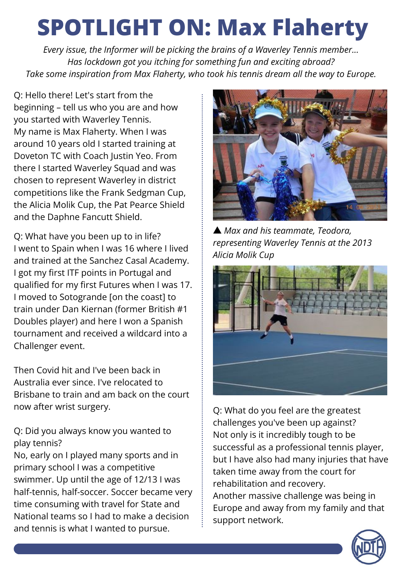## **SPOTLIGHT ON: Max Flaherty**

*Every issue, the Informer will be picking the brains of a Waverley Tennis member... Has lockdown got you itching for something fun and exciting abroad? Take some inspiration from Max Flaherty, who took his tennis dream all the way to Europe.*

**Q: Hello there! Let's start from the beginning – tell us who you are and how you started with Waverley Tennis.** My name is Max Flaherty. When I was around 10 years old I started training at Doveton TC with Coach Justin Yeo. From there I started Waverley Squad and was chosen to represent Waverley in district competitions like the Frank Sedgman Cup, the Alicia Molik Cup, the Pat Pearce Shield and the Daphne Fancutt Shield.

**Q: What have you been up to in life?** I went to Spain when I was 16 where I lived and trained at the Sanchez Casal Academy. I got my first ITF points in Portugal and qualified for my first Futures when I was 17. I moved to Sotogrande [on the coast] to train under Dan Kiernan (former British #1 Doubles player) and here I won a Spanish tournament and received a wildcard into a Challenger event.

Then Covid hit and I've been back in Australia ever since. I've relocated to Brisbane to train and am back on the court now after wrist surgery.

**Q: Did you always know you wanted to play tennis?**

No, early on I played many sports and in primary school I was a competitive swimmer. Up until the age of 12/13 I was half-tennis, half-soccer. Soccer became very time consuming with travel for State and National teams so I had to make a decision and tennis is what I wanted to pursue.



▲ *Max and his teammate, Teodora, representing Waverley Tennis at the 2013 Alicia Molik Cup*



**Q: What do you feel are the greatest challenges you've been up against?** Not only is it incredibly tough to be successful as a professional tennis player, but I have also had many injuries that have taken time away from the court for rehabilitation and recovery. Another massive challenge was being in Europe and away from my family and that support network.

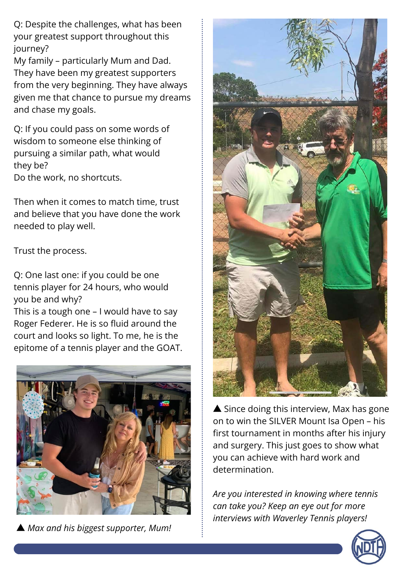**Q: Despite the challenges, what has been your greatest support throughout this journey?**

My family – particularly Mum and Dad. They have been my greatest supporters from the very beginning. They have always given me that chance to pursue my dreams and chase my goals.

**Q: If you could pass on some words of wisdom to someone else thinking of pursuing a similar path, what would they be?**

Do the work, no shortcuts.

Then when it comes to match time, trust and believe that you have done the work needed to play well.

Trust the process.

**Q: One last one: if you could be one tennis player for 24 hours, who would you be and why?**

This is a tough one – I would have to say Roger Federer. He is so fluid around the court and looks so light. To me, he is the epitome of a tennis player and the GOAT.



▲ *Max and his biggest supporter, Mum!*



▲ Since doing this interview, Max has gone on to win the SILVER Mount Isa Open – his first tournament in months after his injury and surgery. This just goes to show what you can achieve with hard work and determination.

*Are you interested in knowing where tennis can take you? Keep an eye out for more interviews with Waverley Tennis players!*